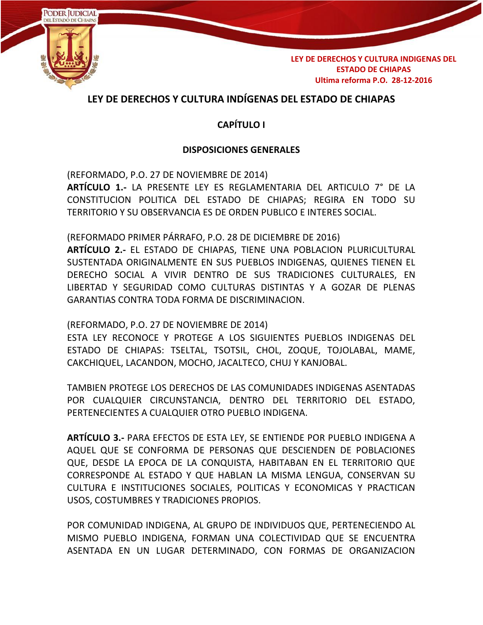

# **LEY DE DERECHOS Y CULTURA INDÍGENAS DEL ESTADO DE CHIAPAS**

## **CAPÍTULO I**

## **DISPOSICIONES GENERALES**

(REFORMADO, P.O. 27 DE NOVIEMBRE DE 2014) **ARTÍCULO 1.-** LA PRESENTE LEY ES REGLAMENTARIA DEL ARTICULO 7° DE LA CONSTITUCION POLITICA DEL ESTADO DE CHIAPAS; REGIRA EN TODO SU TERRITORIO Y SU OBSERVANCIA ES DE ORDEN PUBLICO E INTERES SOCIAL.

(REFORMADO PRIMER PÁRRAFO, P.O. 28 DE DICIEMBRE DE 2016)

**ARTÍCULO 2.-** EL ESTADO DE CHIAPAS, TIENE UNA POBLACION PLURICULTURAL SUSTENTADA ORIGINALMENTE EN SUS PUEBLOS INDIGENAS, QUIENES TIENEN EL DERECHO SOCIAL A VIVIR DENTRO DE SUS TRADICIONES CULTURALES, EN LIBERTAD Y SEGURIDAD COMO CULTURAS DISTINTAS Y A GOZAR DE PLENAS GARANTIAS CONTRA TODA FORMA DE DISCRIMINACION.

(REFORMADO, P.O. 27 DE NOVIEMBRE DE 2014)

ESTA LEY RECONOCE Y PROTEGE A LOS SIGUIENTES PUEBLOS INDIGENAS DEL ESTADO DE CHIAPAS: TSELTAL, TSOTSIL, CHOL, ZOQUE, TOJOLABAL, MAME, CAKCHIQUEL, LACANDON, MOCHO, JACALTECO, CHUJ Y KANJOBAL.

TAMBIEN PROTEGE LOS DERECHOS DE LAS COMUNIDADES INDIGENAS ASENTADAS POR CUALQUIER CIRCUNSTANCIA, DENTRO DEL TERRITORIO DEL ESTADO, PERTENECIENTES A CUALQUIER OTRO PUEBLO INDIGENA.

**ARTÍCULO 3.-** PARA EFECTOS DE ESTA LEY, SE ENTIENDE POR PUEBLO INDIGENA A AQUEL QUE SE CONFORMA DE PERSONAS QUE DESCIENDEN DE POBLACIONES QUE, DESDE LA EPOCA DE LA CONQUISTA, HABITABAN EN EL TERRITORIO QUE CORRESPONDE AL ESTADO Y QUE HABLAN LA MISMA LENGUA, CONSERVAN SU CULTURA E INSTITUCIONES SOCIALES, POLITICAS Y ECONOMICAS Y PRACTICAN USOS, COSTUMBRES Y TRADICIONES PROPIOS.

POR COMUNIDAD INDIGENA, AL GRUPO DE INDIVIDUOS QUE, PERTENECIENDO AL MISMO PUEBLO INDIGENA, FORMAN UNA COLECTIVIDAD QUE SE ENCUENTRA ASENTADA EN UN LUGAR DETERMINADO, CON FORMAS DE ORGANIZACION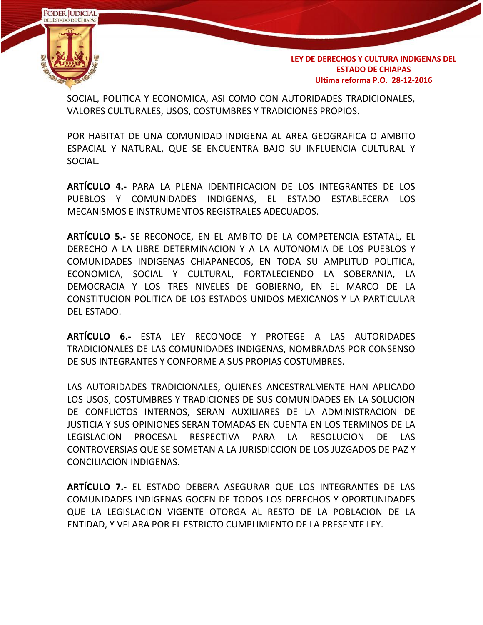

SOCIAL, POLITICA Y ECONOMICA, ASI COMO CON AUTORIDADES TRADICIONALES, VALORES CULTURALES, USOS, COSTUMBRES Y TRADICIONES PROPIOS.

POR HABITAT DE UNA COMUNIDAD INDIGENA AL AREA GEOGRAFICA O AMBITO ESPACIAL Y NATURAL, QUE SE ENCUENTRA BAJO SU INFLUENCIA CULTURAL Y SOCIAL.

**ARTÍCULO 4.-** PARA LA PLENA IDENTIFICACION DE LOS INTEGRANTES DE LOS PUEBLOS Y COMUNIDADES INDIGENAS, EL ESTADO ESTABLECERA LOS MECANISMOS E INSTRUMENTOS REGISTRALES ADECUADOS.

**ARTÍCULO 5.-** SE RECONOCE, EN EL AMBITO DE LA COMPETENCIA ESTATAL, EL DERECHO A LA LIBRE DETERMINACION Y A LA AUTONOMIA DE LOS PUEBLOS Y COMUNIDADES INDIGENAS CHIAPANECOS, EN TODA SU AMPLITUD POLITICA, ECONOMICA, SOCIAL Y CULTURAL, FORTALECIENDO LA SOBERANIA, LA DEMOCRACIA Y LOS TRES NIVELES DE GOBIERNO, EN EL MARCO DE LA CONSTITUCION POLITICA DE LOS ESTADOS UNIDOS MEXICANOS Y LA PARTICULAR DEL ESTADO.

**ARTÍCULO 6.-** ESTA LEY RECONOCE Y PROTEGE A LAS AUTORIDADES TRADICIONALES DE LAS COMUNIDADES INDIGENAS, NOMBRADAS POR CONSENSO DE SUS INTEGRANTES Y CONFORME A SUS PROPIAS COSTUMBRES.

LAS AUTORIDADES TRADICIONALES, QUIENES ANCESTRALMENTE HAN APLICADO LOS USOS, COSTUMBRES Y TRADICIONES DE SUS COMUNIDADES EN LA SOLUCION DE CONFLICTOS INTERNOS, SERAN AUXILIARES DE LA ADMINISTRACION DE JUSTICIA Y SUS OPINIONES SERAN TOMADAS EN CUENTA EN LOS TERMINOS DE LA LEGISLACION PROCESAL RESPECTIVA PARA LA RESOLUCION DE LAS CONTROVERSIAS QUE SE SOMETAN A LA JURISDICCION DE LOS JUZGADOS DE PAZ Y CONCILIACION INDIGENAS.

**ARTÍCULO 7.-** EL ESTADO DEBERA ASEGURAR QUE LOS INTEGRANTES DE LAS COMUNIDADES INDIGENAS GOCEN DE TODOS LOS DERECHOS Y OPORTUNIDADES QUE LA LEGISLACION VIGENTE OTORGA AL RESTO DE LA POBLACION DE LA ENTIDAD, Y VELARA POR EL ESTRICTO CUMPLIMIENTO DE LA PRESENTE LEY.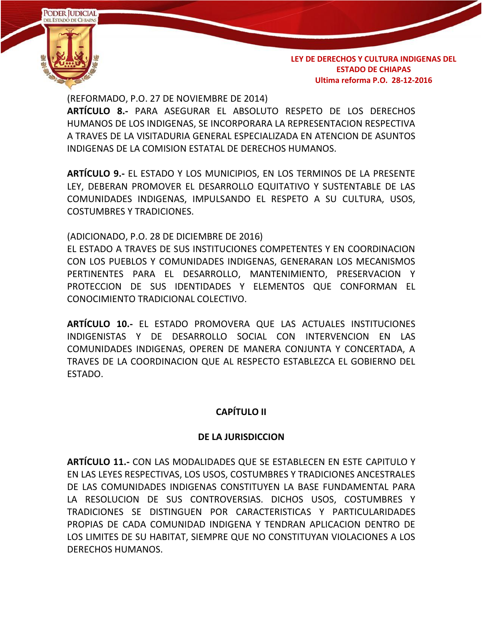

(REFORMADO, P.O. 27 DE NOVIEMBRE DE 2014)

**ARTÍCULO 8.-** PARA ASEGURAR EL ABSOLUTO RESPETO DE LOS DERECHOS HUMANOS DE LOS INDIGENAS, SE INCORPORARA LA REPRESENTACION RESPECTIVA A TRAVES DE LA VISITADURIA GENERAL ESPECIALIZADA EN ATENCION DE ASUNTOS INDIGENAS DE LA COMISION ESTATAL DE DERECHOS HUMANOS.

**ARTÍCULO 9.-** EL ESTADO Y LOS MUNICIPIOS, EN LOS TERMINOS DE LA PRESENTE LEY, DEBERAN PROMOVER EL DESARROLLO EQUITATIVO Y SUSTENTABLE DE LAS COMUNIDADES INDIGENAS, IMPULSANDO EL RESPETO A SU CULTURA, USOS, COSTUMBRES Y TRADICIONES.

### (ADICIONADO, P.O. 28 DE DICIEMBRE DE 2016)

EL ESTADO A TRAVES DE SUS INSTITUCIONES COMPETENTES Y EN COORDINACION CON LOS PUEBLOS Y COMUNIDADES INDIGENAS, GENERARAN LOS MECANISMOS PERTINENTES PARA EL DESARROLLO, MANTENIMIENTO, PRESERVACION Y PROTECCION DE SUS IDENTIDADES Y ELEMENTOS QUE CONFORMAN EL CONOCIMIENTO TRADICIONAL COLECTIVO.

**ARTÍCULO 10.-** EL ESTADO PROMOVERA QUE LAS ACTUALES INSTITUCIONES INDIGENISTAS Y DE DESARROLLO SOCIAL CON INTERVENCION EN LAS COMUNIDADES INDIGENAS, OPEREN DE MANERA CONJUNTA Y CONCERTADA, A TRAVES DE LA COORDINACION QUE AL RESPECTO ESTABLEZCA EL GOBIERNO DEL ESTADO.

## **CAPÍTULO II**

#### **DE LA JURISDICCION**

**ARTÍCULO 11.-** CON LAS MODALIDADES QUE SE ESTABLECEN EN ESTE CAPITULO Y EN LAS LEYES RESPECTIVAS, LOS USOS, COSTUMBRES Y TRADICIONES ANCESTRALES DE LAS COMUNIDADES INDIGENAS CONSTITUYEN LA BASE FUNDAMENTAL PARA LA RESOLUCION DE SUS CONTROVERSIAS. DICHOS USOS, COSTUMBRES Y TRADICIONES SE DISTINGUEN POR CARACTERISTICAS Y PARTICULARIDADES PROPIAS DE CADA COMUNIDAD INDIGENA Y TENDRAN APLICACION DENTRO DE LOS LIMITES DE SU HABITAT, SIEMPRE QUE NO CONSTITUYAN VIOLACIONES A LOS DERECHOS HUMANOS.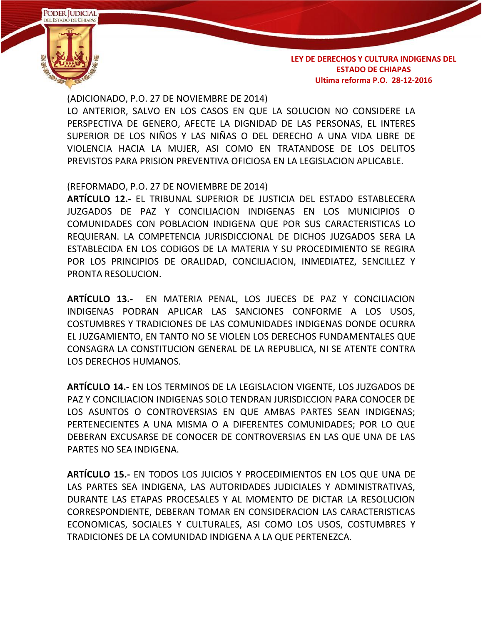

(ADICIONADO, P.O. 27 DE NOVIEMBRE DE 2014) LO ANTERIOR, SALVO EN LOS CASOS EN QUE LA SOLUCION NO CONSIDERE LA PERSPECTIVA DE GENERO, AFECTE LA DIGNIDAD DE LAS PERSONAS, EL INTERES SUPERIOR DE LOS NIÑOS Y LAS NIÑAS O DEL DERECHO A UNA VIDA LIBRE DE VIOLENCIA HACIA LA MUJER, ASI COMO EN TRATANDOSE DE LOS DELITOS PREVISTOS PARA PRISION PREVENTIVA OFICIOSA EN LA LEGISLACION APLICABLE.

(REFORMADO, P.O. 27 DE NOVIEMBRE DE 2014)

**ARTÍCULO 12.-** EL TRIBUNAL SUPERIOR DE JUSTICIA DEL ESTADO ESTABLECERA JUZGADOS DE PAZ Y CONCILIACION INDIGENAS EN LOS MUNICIPIOS O COMUNIDADES CON POBLACION INDIGENA QUE POR SUS CARACTERISTICAS LO REQUIERAN. LA COMPETENCIA JURISDICCIONAL DE DICHOS JUZGADOS SERA LA ESTABLECIDA EN LOS CODIGOS DE LA MATERIA Y SU PROCEDIMIENTO SE REGIRA POR LOS PRINCIPIOS DE ORALIDAD, CONCILIACION, INMEDIATEZ, SENCILLEZ Y PRONTA RESOLUCION.

**ARTÍCULO 13.-** EN MATERIA PENAL, LOS JUECES DE PAZ Y CONCILIACION INDIGENAS PODRAN APLICAR LAS SANCIONES CONFORME A LOS USOS, COSTUMBRES Y TRADICIONES DE LAS COMUNIDADES INDIGENAS DONDE OCURRA EL JUZGAMIENTO, EN TANTO NO SE VIOLEN LOS DERECHOS FUNDAMENTALES QUE CONSAGRA LA CONSTITUCION GENERAL DE LA REPUBLICA, NI SE ATENTE CONTRA LOS DERECHOS HUMANOS.

**ARTÍCULO 14.-** EN LOS TERMINOS DE LA LEGISLACION VIGENTE, LOS JUZGADOS DE PAZ Y CONCILIACION INDIGENAS SOLO TENDRAN JURISDICCION PARA CONOCER DE LOS ASUNTOS O CONTROVERSIAS EN QUE AMBAS PARTES SEAN INDIGENAS; PERTENECIENTES A UNA MISMA O A DIFERENTES COMUNIDADES; POR LO QUE DEBERAN EXCUSARSE DE CONOCER DE CONTROVERSIAS EN LAS QUE UNA DE LAS PARTES NO SEA INDIGENA.

**ARTÍCULO 15.-** EN TODOS LOS JUICIOS Y PROCEDIMIENTOS EN LOS QUE UNA DE LAS PARTES SEA INDIGENA, LAS AUTORIDADES JUDICIALES Y ADMINISTRATIVAS, DURANTE LAS ETAPAS PROCESALES Y AL MOMENTO DE DICTAR LA RESOLUCION CORRESPONDIENTE, DEBERAN TOMAR EN CONSIDERACION LAS CARACTERISTICAS ECONOMICAS, SOCIALES Y CULTURALES, ASI COMO LOS USOS, COSTUMBRES Y TRADICIONES DE LA COMUNIDAD INDIGENA A LA QUE PERTENEZCA.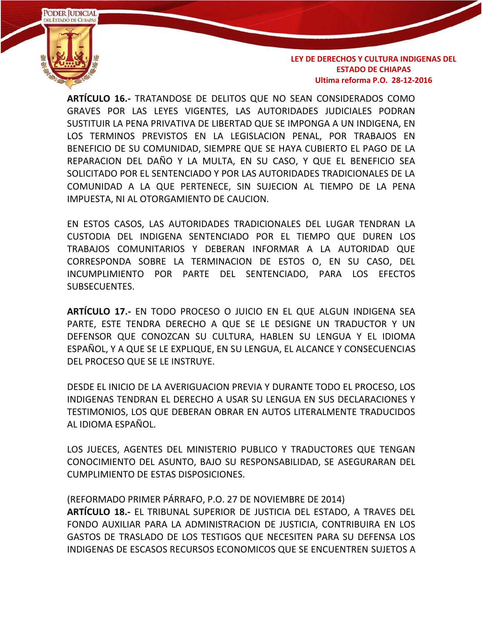

**ARTÍCULO 16.-** TRATANDOSE DE DELITOS QUE NO SEAN CONSIDERADOS COMO GRAVES POR LAS LEYES VIGENTES, LAS AUTORIDADES JUDICIALES PODRAN SUSTITUIR LA PENA PRIVATIVA DE LIBERTAD QUE SE IMPONGA A UN INDIGENA, EN LOS TERMINOS PREVISTOS EN LA LEGISLACION PENAL, POR TRABAJOS EN BENEFICIO DE SU COMUNIDAD, SIEMPRE QUE SE HAYA CUBIERTO EL PAGO DE LA REPARACION DEL DAÑO Y LA MULTA, EN SU CASO, Y QUE EL BENEFICIO SEA SOLICITADO POR EL SENTENCIADO Y POR LAS AUTORIDADES TRADICIONALES DE LA COMUNIDAD A LA QUE PERTENECE, SIN SUJECION AL TIEMPO DE LA PENA IMPUESTA, NI AL OTORGAMIENTO DE CAUCION.

EN ESTOS CASOS, LAS AUTORIDADES TRADICIONALES DEL LUGAR TENDRAN LA CUSTODIA DEL INDIGENA SENTENCIADO POR EL TIEMPO QUE DUREN LOS TRABAJOS COMUNITARIOS Y DEBERAN INFORMAR A LA AUTORIDAD QUE CORRESPONDA SOBRE LA TERMINACION DE ESTOS O, EN SU CASO, DEL INCUMPLIMIENTO POR PARTE DEL SENTENCIADO, PARA LOS EFECTOS SUBSECUENTES.

**ARTÍCULO 17.-** EN TODO PROCESO O JUICIO EN EL QUE ALGUN INDIGENA SEA PARTE, ESTE TENDRA DERECHO A QUE SE LE DESIGNE UN TRADUCTOR Y UN DEFENSOR QUE CONOZCAN SU CULTURA, HABLEN SU LENGUA Y EL IDIOMA ESPAÑOL, Y A QUE SE LE EXPLIQUE, EN SU LENGUA, EL ALCANCE Y CONSECUENCIAS DEL PROCESO QUE SE LE INSTRUYE.

DESDE EL INICIO DE LA AVERIGUACION PREVIA Y DURANTE TODO EL PROCESO, LOS INDIGENAS TENDRAN EL DERECHO A USAR SU LENGUA EN SUS DECLARACIONES Y TESTIMONIOS, LOS QUE DEBERAN OBRAR EN AUTOS LITERALMENTE TRADUCIDOS AL IDIOMA ESPAÑOL.

LOS JUECES, AGENTES DEL MINISTERIO PUBLICO Y TRADUCTORES QUE TENGAN CONOCIMIENTO DEL ASUNTO, BAJO SU RESPONSABILIDAD, SE ASEGURARAN DEL CUMPLIMIENTO DE ESTAS DISPOSICIONES.

(REFORMADO PRIMER PÁRRAFO, P.O. 27 DE NOVIEMBRE DE 2014) **ARTÍCULO 18.-** EL TRIBUNAL SUPERIOR DE JUSTICIA DEL ESTADO, A TRAVES DEL FONDO AUXILIAR PARA LA ADMINISTRACION DE JUSTICIA, CONTRIBUIRA EN LOS GASTOS DE TRASLADO DE LOS TESTIGOS QUE NECESITEN PARA SU DEFENSA LOS INDIGENAS DE ESCASOS RECURSOS ECONOMICOS QUE SE ENCUENTREN SUJETOS A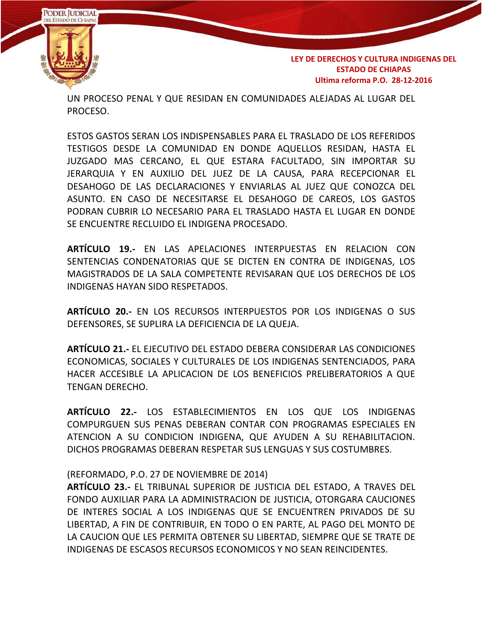

UN PROCESO PENAL Y QUE RESIDAN EN COMUNIDADES ALEJADAS AL LUGAR DEL PROCESO.

ESTOS GASTOS SERAN LOS INDISPENSABLES PARA EL TRASLADO DE LOS REFERIDOS TESTIGOS DESDE LA COMUNIDAD EN DONDE AQUELLOS RESIDAN, HASTA EL JUZGADO MAS CERCANO, EL QUE ESTARA FACULTADO, SIN IMPORTAR SU JERARQUIA Y EN AUXILIO DEL JUEZ DE LA CAUSA, PARA RECEPCIONAR EL DESAHOGO DE LAS DECLARACIONES Y ENVIARLAS AL JUEZ QUE CONOZCA DEL ASUNTO. EN CASO DE NECESITARSE EL DESAHOGO DE CAREOS, LOS GASTOS PODRAN CUBRIR LO NECESARIO PARA EL TRASLADO HASTA EL LUGAR EN DONDE SE ENCUENTRE RECLUIDO EL INDIGENA PROCESADO.

**ARTÍCULO 19.-** EN LAS APELACIONES INTERPUESTAS EN RELACION CON SENTENCIAS CONDENATORIAS QUE SE DICTEN EN CONTRA DE INDIGENAS, LOS MAGISTRADOS DE LA SALA COMPETENTE REVISARAN QUE LOS DERECHOS DE LOS INDIGENAS HAYAN SIDO RESPETADOS.

**ARTÍCULO 20.-** EN LOS RECURSOS INTERPUESTOS POR LOS INDIGENAS O SUS DEFENSORES, SE SUPLIRA LA DEFICIENCIA DE LA QUEJA.

**ARTÍCULO 21.-** EL EJECUTIVO DEL ESTADO DEBERA CONSIDERAR LAS CONDICIONES ECONOMICAS, SOCIALES Y CULTURALES DE LOS INDIGENAS SENTENCIADOS, PARA HACER ACCESIBLE LA APLICACION DE LOS BENEFICIOS PRELIBERATORIOS A QUE TENGAN DERECHO.

**ARTÍCULO 22.-** LOS ESTABLECIMIENTOS EN LOS QUE LOS INDIGENAS COMPURGUEN SUS PENAS DEBERAN CONTAR CON PROGRAMAS ESPECIALES EN ATENCION A SU CONDICION INDIGENA, QUE AYUDEN A SU REHABILITACION. DICHOS PROGRAMAS DEBERAN RESPETAR SUS LENGUAS Y SUS COSTUMBRES.

#### (REFORMADO, P.O. 27 DE NOVIEMBRE DE 2014)

**ARTÍCULO 23.-** EL TRIBUNAL SUPERIOR DE JUSTICIA DEL ESTADO, A TRAVES DEL FONDO AUXILIAR PARA LA ADMINISTRACION DE JUSTICIA, OTORGARA CAUCIONES DE INTERES SOCIAL A LOS INDIGENAS QUE SE ENCUENTREN PRIVADOS DE SU LIBERTAD, A FIN DE CONTRIBUIR, EN TODO O EN PARTE, AL PAGO DEL MONTO DE LA CAUCION QUE LES PERMITA OBTENER SU LIBERTAD, SIEMPRE QUE SE TRATE DE INDIGENAS DE ESCASOS RECURSOS ECONOMICOS Y NO SEAN REINCIDENTES.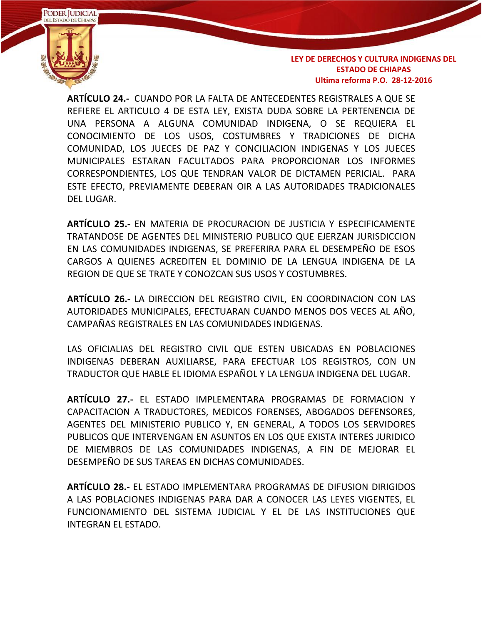

**ARTÍCULO 24.-** CUANDO POR LA FALTA DE ANTECEDENTES REGISTRALES A QUE SE REFIERE EL ARTICULO 4 DE ESTA LEY, EXISTA DUDA SOBRE LA PERTENENCIA DE UNA PERSONA A ALGUNA COMUNIDAD INDIGENA, O SE REQUIERA EL CONOCIMIENTO DE LOS USOS, COSTUMBRES Y TRADICIONES DE DICHA COMUNIDAD, LOS JUECES DE PAZ Y CONCILIACION INDIGENAS Y LOS JUECES MUNICIPALES ESTARAN FACULTADOS PARA PROPORCIONAR LOS INFORMES CORRESPONDIENTES, LOS QUE TENDRAN VALOR DE DICTAMEN PERICIAL. PARA ESTE EFECTO, PREVIAMENTE DEBERAN OIR A LAS AUTORIDADES TRADICIONALES DEL LUGAR.

**ARTÍCULO 25.-** EN MATERIA DE PROCURACION DE JUSTICIA Y ESPECIFICAMENTE TRATANDOSE DE AGENTES DEL MINISTERIO PUBLICO QUE EJERZAN JURISDICCION EN LAS COMUNIDADES INDIGENAS, SE PREFERIRA PARA EL DESEMPEÑO DE ESOS CARGOS A QUIENES ACREDITEN EL DOMINIO DE LA LENGUA INDIGENA DE LA REGION DE QUE SE TRATE Y CONOZCAN SUS USOS Y COSTUMBRES.

**ARTÍCULO 26.-** LA DIRECCION DEL REGISTRO CIVIL, EN COORDINACION CON LAS AUTORIDADES MUNICIPALES, EFECTUARAN CUANDO MENOS DOS VECES AL AÑO, CAMPAÑAS REGISTRALES EN LAS COMUNIDADES INDIGENAS.

LAS OFICIALIAS DEL REGISTRO CIVIL QUE ESTEN UBICADAS EN POBLACIONES INDIGENAS DEBERAN AUXILIARSE, PARA EFECTUAR LOS REGISTROS, CON UN TRADUCTOR QUE HABLE EL IDIOMA ESPAÑOL Y LA LENGUA INDIGENA DEL LUGAR.

**ARTÍCULO 27.-** EL ESTADO IMPLEMENTARA PROGRAMAS DE FORMACION Y CAPACITACION A TRADUCTORES, MEDICOS FORENSES, ABOGADOS DEFENSORES, AGENTES DEL MINISTERIO PUBLICO Y, EN GENERAL, A TODOS LOS SERVIDORES PUBLICOS QUE INTERVENGAN EN ASUNTOS EN LOS QUE EXISTA INTERES JURIDICO DE MIEMBROS DE LAS COMUNIDADES INDIGENAS, A FIN DE MEJORAR EL DESEMPEÑO DE SUS TAREAS EN DICHAS COMUNIDADES.

**ARTÍCULO 28.-** EL ESTADO IMPLEMENTARA PROGRAMAS DE DIFUSION DIRIGIDOS A LAS POBLACIONES INDIGENAS PARA DAR A CONOCER LAS LEYES VIGENTES, EL FUNCIONAMIENTO DEL SISTEMA JUDICIAL Y EL DE LAS INSTITUCIONES QUE INTEGRAN EL ESTADO.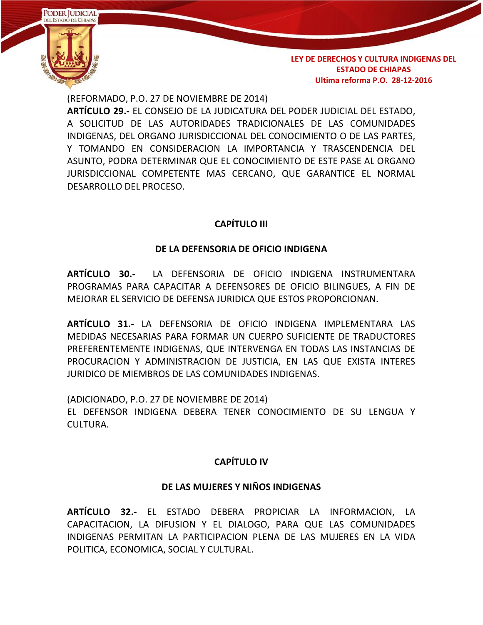

(REFORMADO, P.O. 27 DE NOVIEMBRE DE 2014)

**ARTÍCULO 29.-** EL CONSEJO DE LA JUDICATURA DEL PODER JUDICIAL DEL ESTADO, A SOLICITUD DE LAS AUTORIDADES TRADICIONALES DE LAS COMUNIDADES INDIGENAS, DEL ORGANO JURISDICCIONAL DEL CONOCIMIENTO O DE LAS PARTES, Y TOMANDO EN CONSIDERACION LA IMPORTANCIA Y TRASCENDENCIA DEL ASUNTO, PODRA DETERMINAR QUE EL CONOCIMIENTO DE ESTE PASE AL ORGANO JURISDICCIONAL COMPETENTE MAS CERCANO, QUE GARANTICE EL NORMAL DESARROLLO DEL PROCESO.

## **CAPÍTULO III**

### **DE LA DEFENSORIA DE OFICIO INDIGENA**

**ARTÍCULO 30.-** LA DEFENSORIA DE OFICIO INDIGENA INSTRUMENTARA PROGRAMAS PARA CAPACITAR A DEFENSORES DE OFICIO BILINGUES, A FIN DE MEJORAR EL SERVICIO DE DEFENSA JURIDICA QUE ESTOS PROPORCIONAN.

**ARTÍCULO 31.-** LA DEFENSORIA DE OFICIO INDIGENA IMPLEMENTARA LAS MEDIDAS NECESARIAS PARA FORMAR UN CUERPO SUFICIENTE DE TRADUCTORES PREFERENTEMENTE INDIGENAS, QUE INTERVENGA EN TODAS LAS INSTANCIAS DE PROCURACION Y ADMINISTRACION DE JUSTICIA, EN LAS QUE EXISTA INTERES JURIDICO DE MIEMBROS DE LAS COMUNIDADES INDIGENAS.

(ADICIONADO, P.O. 27 DE NOVIEMBRE DE 2014)

EL DEFENSOR INDIGENA DEBERA TENER CONOCIMIENTO DE SU LENGUA Y CULTURA.

## **CAPÍTULO IV**

## **DE LAS MUJERES Y NIÑOS INDIGENAS**

**ARTÍCULO 32.-** EL ESTADO DEBERA PROPICIAR LA INFORMACION, LA CAPACITACION, LA DIFUSION Y EL DIALOGO, PARA QUE LAS COMUNIDADES INDIGENAS PERMITAN LA PARTICIPACION PLENA DE LAS MUJERES EN LA VIDA POLITICA, ECONOMICA, SOCIAL Y CULTURAL.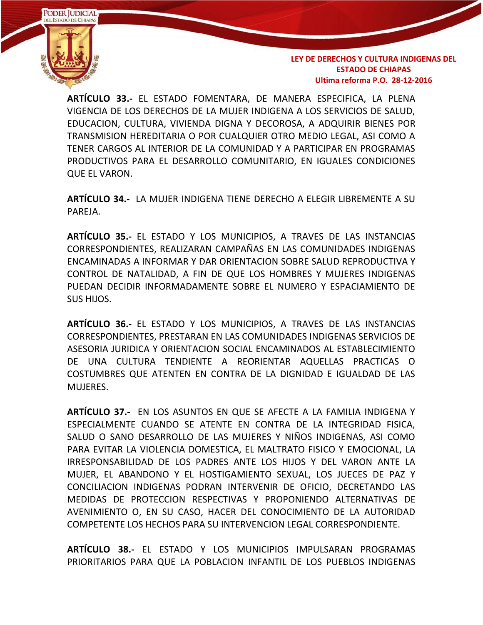

**ARTÍCULO 33.-** EL ESTADO FOMENTARA, DE MANERA ESPECIFICA, LA PLENA VIGENCIA DE LOS DERECHOS DE LA MUJER INDIGENA A LOS SERVICIOS DE SALUD, EDUCACION, CULTURA, VIVIENDA DIGNA Y DECOROSA, A ADQUIRIR BIENES POR TRANSMISION HEREDITARIA O POR CUALQUIER OTRO MEDIO LEGAL, ASI COMO A TENER CARGOS AL INTERIOR DE LA COMUNIDAD Y A PARTICIPAR EN PROGRAMAS PRODUCTIVOS PARA EL DESARROLLO COMUNITARIO, EN IGUALES CONDICIONES QUE EL VARON.

**ARTÍCULO 34.-** LA MUJER INDIGENA TIENE DERECHO A ELEGIR LIBREMENTE A SU PAREJA.

**ARTÍCULO 35.-** EL ESTADO Y LOS MUNICIPIOS, A TRAVES DE LAS INSTANCIAS CORRESPONDIENTES, REALIZARAN CAMPAÑAS EN LAS COMUNIDADES INDIGENAS ENCAMINADAS A INFORMAR Y DAR ORIENTACION SOBRE SALUD REPRODUCTIVA Y CONTROL DE NATALIDAD, A FIN DE QUE LOS HOMBRES Y MUJERES INDIGENAS PUEDAN DECIDIR INFORMADAMENTE SOBRE EL NUMERO Y ESPACIAMIENTO DE SUS HIJOS.

**ARTÍCULO 36.-** EL ESTADO Y LOS MUNICIPIOS, A TRAVES DE LAS INSTANCIAS CORRESPONDIENTES, PRESTARAN EN LAS COMUNIDADES INDIGENAS SERVICIOS DE ASESORIA JURIDICA Y ORIENTACION SOCIAL ENCAMINADOS AL ESTABLECIMIENTO DE UNA CULTURA TENDIENTE A REORIENTAR AQUELLAS PRACTICAS O COSTUMBRES QUE ATENTEN EN CONTRA DE LA DIGNIDAD E IGUALDAD DE LAS MUJERES.

**ARTÍCULO 37.-** EN LOS ASUNTOS EN QUE SE AFECTE A LA FAMILIA INDIGENA Y ESPECIALMENTE CUANDO SE ATENTE EN CONTRA DE LA INTEGRIDAD FISICA, SALUD O SANO DESARROLLO DE LAS MUJERES Y NIÑOS INDIGENAS, ASI COMO PARA EVITAR LA VIOLENCIA DOMESTICA, EL MALTRATO FISICO Y EMOCIONAL, LA IRRESPONSABILIDAD DE LOS PADRES ANTE LOS HIJOS Y DEL VARON ANTE LA MUJER, EL ABANDONO Y EL HOSTIGAMIENTO SEXUAL, LOS JUECES DE PAZ Y CONCILIACION INDIGENAS PODRAN INTERVENIR DE OFICIO, DECRETANDO LAS MEDIDAS DE PROTECCION RESPECTIVAS Y PROPONIENDO ALTERNATIVAS DE AVENIMIENTO O, EN SU CASO, HACER DEL CONOCIMIENTO DE LA AUTORIDAD COMPETENTE LOS HECHOS PARA SU INTERVENCION LEGAL CORRESPONDIENTE.

**ARTÍCULO 38.-** EL ESTADO Y LOS MUNICIPIOS IMPULSARAN PROGRAMAS PRIORITARIOS PARA QUE LA POBLACION INFANTIL DE LOS PUEBLOS INDIGENAS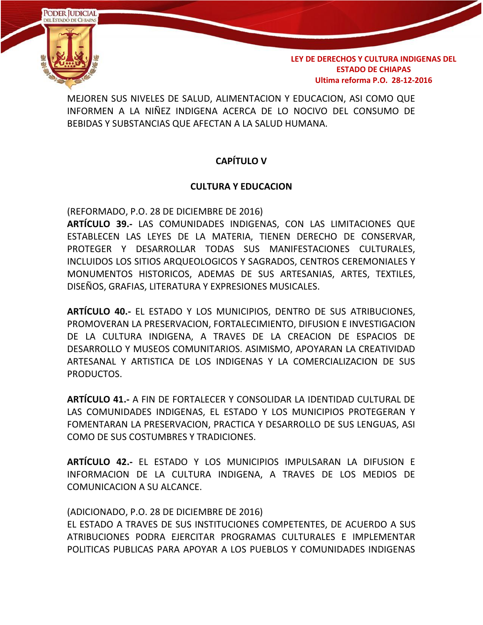

MEJOREN SUS NIVELES DE SALUD, ALIMENTACION Y EDUCACION, ASI COMO QUE INFORMEN A LA NIÑEZ INDIGENA ACERCA DE LO NOCIVO DEL CONSUMO DE BEBIDAS Y SUBSTANCIAS QUE AFECTAN A LA SALUD HUMANA.

## **CAPÍTULO V**

#### **CULTURA Y EDUCACION**

(REFORMADO, P.O. 28 DE DICIEMBRE DE 2016)

**ARTÍCULO 39.-** LAS COMUNIDADES INDIGENAS, CON LAS LIMITACIONES QUE ESTABLECEN LAS LEYES DE LA MATERIA, TIENEN DERECHO DE CONSERVAR, PROTEGER Y DESARROLLAR TODAS SUS MANIFESTACIONES CULTURALES, INCLUIDOS LOS SITIOS ARQUEOLOGICOS Y SAGRADOS, CENTROS CEREMONIALES Y MONUMENTOS HISTORICOS, ADEMAS DE SUS ARTESANIAS, ARTES, TEXTILES, DISEÑOS, GRAFIAS, LITERATURA Y EXPRESIONES MUSICALES.

**ARTÍCULO 40.-** EL ESTADO Y LOS MUNICIPIOS, DENTRO DE SUS ATRIBUCIONES, PROMOVERAN LA PRESERVACION, FORTALECIMIENTO, DIFUSION E INVESTIGACION DE LA CULTURA INDIGENA, A TRAVES DE LA CREACION DE ESPACIOS DE DESARROLLO Y MUSEOS COMUNITARIOS. ASIMISMO, APOYARAN LA CREATIVIDAD ARTESANAL Y ARTISTICA DE LOS INDIGENAS Y LA COMERCIALIZACION DE SUS PRODUCTOS.

**ARTÍCULO 41.-** A FIN DE FORTALECER Y CONSOLIDAR LA IDENTIDAD CULTURAL DE LAS COMUNIDADES INDIGENAS, EL ESTADO Y LOS MUNICIPIOS PROTEGERAN Y FOMENTARAN LA PRESERVACION, PRACTICA Y DESARROLLO DE SUS LENGUAS, ASI COMO DE SUS COSTUMBRES Y TRADICIONES.

**ARTÍCULO 42.-** EL ESTADO Y LOS MUNICIPIOS IMPULSARAN LA DIFUSION E INFORMACION DE LA CULTURA INDIGENA, A TRAVES DE LOS MEDIOS DE COMUNICACION A SU ALCANCE.

(ADICIONADO, P.O. 28 DE DICIEMBRE DE 2016)

EL ESTADO A TRAVES DE SUS INSTITUCIONES COMPETENTES, DE ACUERDO A SUS ATRIBUCIONES PODRA EJERCITAR PROGRAMAS CULTURALES E IMPLEMENTAR POLITICAS PUBLICAS PARA APOYAR A LOS PUEBLOS Y COMUNIDADES INDIGENAS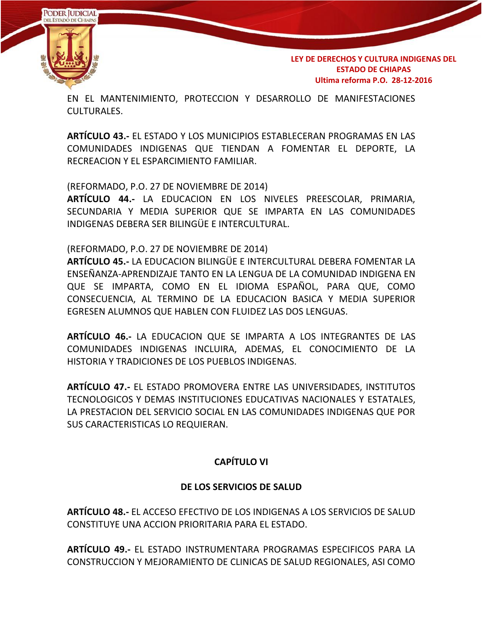

EN EL MANTENIMIENTO, PROTECCION Y DESARROLLO DE MANIFESTACIONES CULTURALES.

**ARTÍCULO 43.-** EL ESTADO Y LOS MUNICIPIOS ESTABLECERAN PROGRAMAS EN LAS COMUNIDADES INDIGENAS QUE TIENDAN A FOMENTAR EL DEPORTE, LA RECREACION Y EL ESPARCIMIENTO FAMILIAR.

(REFORMADO, P.O. 27 DE NOVIEMBRE DE 2014)

**ARTÍCULO 44.-** LA EDUCACION EN LOS NIVELES PREESCOLAR, PRIMARIA, SECUNDARIA Y MEDIA SUPERIOR QUE SE IMPARTA EN LAS COMUNIDADES INDIGENAS DEBERA SER BILINGÜE E INTERCULTURAL.

(REFORMADO, P.O. 27 DE NOVIEMBRE DE 2014)

**ARTÍCULO 45.-** LA EDUCACION BILINGÜE E INTERCULTURAL DEBERA FOMENTAR LA ENSEÑANZA-APRENDIZAJE TANTO EN LA LENGUA DE LA COMUNIDAD INDIGENA EN QUE SE IMPARTA, COMO EN EL IDIOMA ESPAÑOL, PARA QUE, COMO CONSECUENCIA, AL TERMINO DE LA EDUCACION BASICA Y MEDIA SUPERIOR EGRESEN ALUMNOS QUE HABLEN CON FLUIDEZ LAS DOS LENGUAS.

**ARTÍCULO 46.-** LA EDUCACION QUE SE IMPARTA A LOS INTEGRANTES DE LAS COMUNIDADES INDIGENAS INCLUIRA, ADEMAS, EL CONOCIMIENTO DE LA HISTORIA Y TRADICIONES DE LOS PUEBLOS INDIGENAS.

**ARTÍCULO 47.-** EL ESTADO PROMOVERA ENTRE LAS UNIVERSIDADES, INSTITUTOS TECNOLOGICOS Y DEMAS INSTITUCIONES EDUCATIVAS NACIONALES Y ESTATALES, LA PRESTACION DEL SERVICIO SOCIAL EN LAS COMUNIDADES INDIGENAS QUE POR SUS CARACTERISTICAS LO REQUIERAN.

## **CAPÍTULO VI**

## **DE LOS SERVICIOS DE SALUD**

**ARTÍCULO 48.-** EL ACCESO EFECTIVO DE LOS INDIGENAS A LOS SERVICIOS DE SALUD CONSTITUYE UNA ACCION PRIORITARIA PARA EL ESTADO.

**ARTÍCULO 49.-** EL ESTADO INSTRUMENTARA PROGRAMAS ESPECIFICOS PARA LA CONSTRUCCION Y MEJORAMIENTO DE CLINICAS DE SALUD REGIONALES, ASI COMO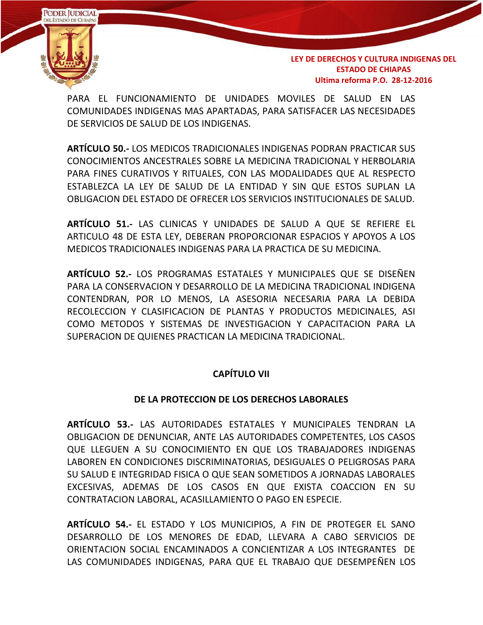

PARA EL FUNCIONAMIENTO DE UNIDADES MOVILES DE SALUD EN LAS COMUNIDADES INDIGENAS MAS APARTADAS, PARA SATISFACER LAS NECESIDADES DE SERVICIOS DE SALUD DE LOS INDIGENAS.

**ARTÍCULO 50.-** LOS MEDICOS TRADICIONALES INDIGENAS PODRAN PRACTICAR SUS CONOCIMIENTOS ANCESTRALES SOBRE LA MEDICINA TRADICIONAL Y HERBOLARIA PARA FINES CURATIVOS Y RITUALES, CON LAS MODALIDADES QUE AL RESPECTO ESTABLEZCA LA LEY DE SALUD DE LA ENTIDAD Y SIN QUE ESTOS SUPLAN LA OBLIGACION DEL ESTADO DE OFRECER LOS SERVICIOS INSTITUCIONALES DE SALUD.

**ARTÍCULO 51.-** LAS CLINICAS Y UNIDADES DE SALUD A QUE SE REFIERE EL ARTICULO 48 DE ESTA LEY, DEBERAN PROPORCIONAR ESPACIOS Y APOYOS A LOS MEDICOS TRADICIONALES INDIGENAS PARA LA PRACTICA DE SU MEDICINA.

**ARTÍCULO 52.-** LOS PROGRAMAS ESTATALES Y MUNICIPALES QUE SE DISEÑEN PARA LA CONSERVACION Y DESARROLLO DE LA MEDICINA TRADICIONAL INDIGENA CONTENDRAN, POR LO MENOS, LA ASESORIA NECESARIA PARA LA DEBIDA RECOLECCION Y CLASIFICACION DE PLANTAS Y PRODUCTOS MEDICINALES, ASI COMO METODOS Y SISTEMAS DE INVESTIGACION Y CAPACITACION PARA LA SUPERACION DE QUIENES PRACTICAN LA MEDICINA TRADICIONAL.

## **CAPÍTULO VII**

## **DE LA PROTECCION DE LOS DERECHOS LABORALES**

**ARTÍCULO 53.-** LAS AUTORIDADES ESTATALES Y MUNICIPALES TENDRAN LA OBLIGACION DE DENUNCIAR, ANTE LAS AUTORIDADES COMPETENTES, LOS CASOS QUE LLEGUEN A SU CONOCIMIENTO EN QUE LOS TRABAJADORES INDIGENAS LABOREN EN CONDICIONES DISCRIMINATORIAS, DESIGUALES O PELIGROSAS PARA SU SALUD E INTEGRIDAD FISICA O QUE SEAN SOMETIDOS A JORNADAS LABORALES EXCESIVAS, ADEMAS DE LOS CASOS EN QUE EXISTA COACCION EN SU CONTRATACION LABORAL, ACASILLAMIENTO O PAGO EN ESPECIE.

**ARTÍCULO 54.-** EL ESTADO Y LOS MUNICIPIOS, A FIN DE PROTEGER EL SANO DESARROLLO DE LOS MENORES DE EDAD, LLEVARA A CABO SERVICIOS DE ORIENTACION SOCIAL ENCAMINADOS A CONCIENTIZAR A LOS INTEGRANTES DE LAS COMUNIDADES INDIGENAS, PARA QUE EL TRABAJO QUE DESEMPEÑEN LOS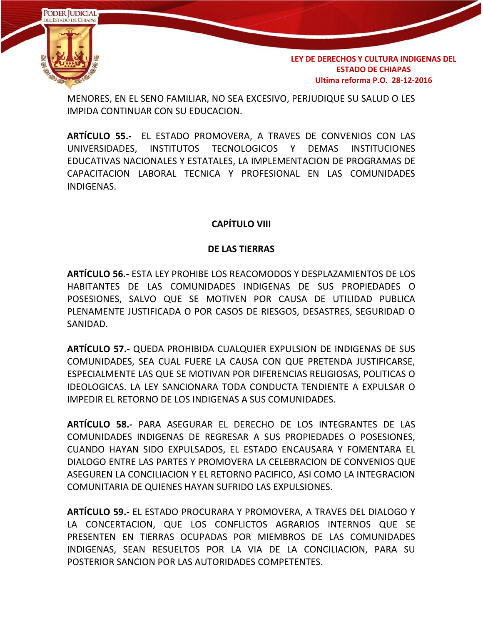

MENORES, EN EL SENO FAMILIAR, NO SEA EXCESIVO, PERJUDIQUE SU SALUD O LES IMPIDA CONTINUAR CON SU EDUCACION.

**ARTÍCULO 55.-** EL ESTADO PROMOVERA, A TRAVES DE CONVENIOS CON LAS UNIVERSIDADES, INSTITUTOS TECNOLOGICOS Y DEMAS INSTITUCIONES EDUCATIVAS NACIONALES Y ESTATALES, LA IMPLEMENTACION DE PROGRAMAS DE CAPACITACION LABORAL TECNICA Y PROFESIONAL EN LAS COMUNIDADES INDIGENAS.

## **CAPÍTULO VIII**

### **DE LAS TIERRAS**

**ARTÍCULO 56.-** ESTA LEY PROHIBE LOS REACOMODOS Y DESPLAZAMIENTOS DE LOS HABITANTES DE LAS COMUNIDADES INDIGENAS DE SUS PROPIEDADES O POSESIONES, SALVO QUE SE MOTIVEN POR CAUSA DE UTILIDAD PUBLICA PLENAMENTE JUSTIFICADA O POR CASOS DE RIESGOS, DESASTRES, SEGURIDAD O SANIDAD.

**ARTÍCULO 57.-** QUEDA PROHIBIDA CUALQUIER EXPULSION DE INDIGENAS DE SUS COMUNIDADES, SEA CUAL FUERE LA CAUSA CON QUE PRETENDA JUSTIFICARSE, ESPECIALMENTE LAS QUE SE MOTIVAN POR DIFERENCIAS RELIGIOSAS, POLITICAS O IDEOLOGICAS. LA LEY SANCIONARA TODA CONDUCTA TENDIENTE A EXPULSAR O IMPEDIR EL RETORNO DE LOS INDIGENAS A SUS COMUNIDADES.

**ARTÍCULO 58.-** PARA ASEGURAR EL DERECHO DE LOS INTEGRANTES DE LAS COMUNIDADES INDIGENAS DE REGRESAR A SUS PROPIEDADES O POSESIONES, CUANDO HAYAN SIDO EXPULSADOS, EL ESTADO ENCAUSARA Y FOMENTARA EL DIALOGO ENTRE LAS PARTES Y PROMOVERA LA CELEBRACION DE CONVENIOS QUE ASEGUREN LA CONCILIACION Y EL RETORNO PACIFICO, ASI COMO LA INTEGRACION COMUNITARIA DE QUIENES HAYAN SUFRIDO LAS EXPULSIONES.

**ARTÍCULO 59.-** EL ESTADO PROCURARA Y PROMOVERA, A TRAVES DEL DIALOGO Y LA CONCERTACION, QUE LOS CONFLICTOS AGRARIOS INTERNOS QUE SE PRESENTEN EN TIERRAS OCUPADAS POR MIEMBROS DE LAS COMUNIDADES INDIGENAS, SEAN RESUELTOS POR LA VIA DE LA CONCILIACION, PARA SU POSTERIOR SANCION POR LAS AUTORIDADES COMPETENTES.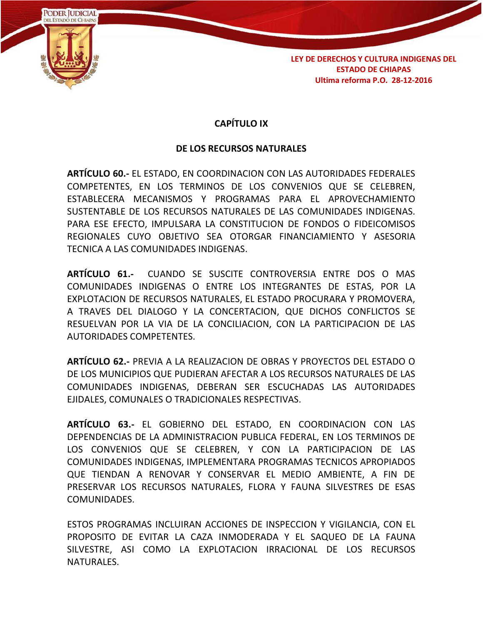

## **CAPÍTULO IX**

### **DE LOS RECURSOS NATURALES**

**ARTÍCULO 60.-** EL ESTADO, EN COORDINACION CON LAS AUTORIDADES FEDERALES COMPETENTES, EN LOS TERMINOS DE LOS CONVENIOS QUE SE CELEBREN, ESTABLECERA MECANISMOS Y PROGRAMAS PARA EL APROVECHAMIENTO SUSTENTABLE DE LOS RECURSOS NATURALES DE LAS COMUNIDADES INDIGENAS. PARA ESE EFECTO, IMPULSARA LA CONSTITUCION DE FONDOS O FIDEICOMISOS REGIONALES CUYO OBJETIVO SEA OTORGAR FINANCIAMIENTO Y ASESORIA TECNICA A LAS COMUNIDADES INDIGENAS.

**ARTÍCULO 61.-** CUANDO SE SUSCITE CONTROVERSIA ENTRE DOS O MAS COMUNIDADES INDIGENAS O ENTRE LOS INTEGRANTES DE ESTAS, POR LA EXPLOTACION DE RECURSOS NATURALES, EL ESTADO PROCURARA Y PROMOVERA, A TRAVES DEL DIALOGO Y LA CONCERTACION, QUE DICHOS CONFLICTOS SE RESUELVAN POR LA VIA DE LA CONCILIACION, CON LA PARTICIPACION DE LAS AUTORIDADES COMPETENTES.

**ARTÍCULO 62.-** PREVIA A LA REALIZACION DE OBRAS Y PROYECTOS DEL ESTADO O DE LOS MUNICIPIOS QUE PUDIERAN AFECTAR A LOS RECURSOS NATURALES DE LAS COMUNIDADES INDIGENAS, DEBERAN SER ESCUCHADAS LAS AUTORIDADES EJIDALES, COMUNALES O TRADICIONALES RESPECTIVAS.

**ARTÍCULO 63.-** EL GOBIERNO DEL ESTADO, EN COORDINACION CON LAS DEPENDENCIAS DE LA ADMINISTRACION PUBLICA FEDERAL, EN LOS TERMINOS DE LOS CONVENIOS QUE SE CELEBREN, Y CON LA PARTICIPACION DE LAS COMUNIDADES INDIGENAS, IMPLEMENTARA PROGRAMAS TECNICOS APROPIADOS QUE TIENDAN A RENOVAR Y CONSERVAR EL MEDIO AMBIENTE, A FIN DE PRESERVAR LOS RECURSOS NATURALES, FLORA Y FAUNA SILVESTRES DE ESAS COMUNIDADES.

ESTOS PROGRAMAS INCLUIRAN ACCIONES DE INSPECCION Y VIGILANCIA, CON EL PROPOSITO DE EVITAR LA CAZA INMODERADA Y EL SAQUEO DE LA FAUNA SILVESTRE, ASI COMO LA EXPLOTACION IRRACIONAL DE LOS RECURSOS NATURALES.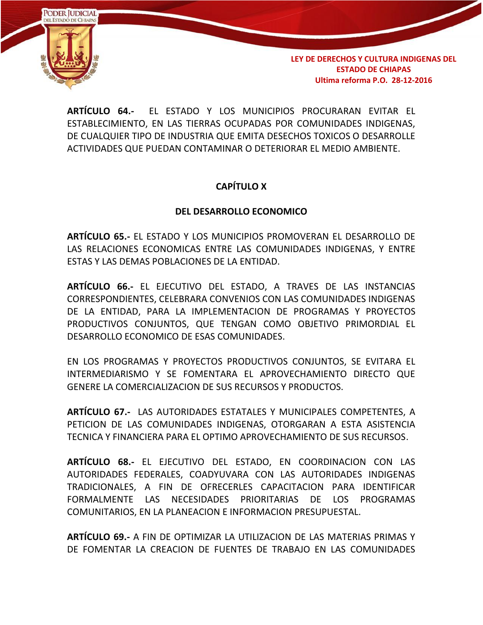

**ARTÍCULO 64.-** EL ESTADO Y LOS MUNICIPIOS PROCURARAN EVITAR EL ESTABLECIMIENTO, EN LAS TIERRAS OCUPADAS POR COMUNIDADES INDIGENAS, DE CUALQUIER TIPO DE INDUSTRIA QUE EMITA DESECHOS TOXICOS O DESARROLLE ACTIVIDADES QUE PUEDAN CONTAMINAR O DETERIORAR EL MEDIO AMBIENTE.

## **CAPÍTULO X**

## **DEL DESARROLLO ECONOMICO**

**ARTÍCULO 65.-** EL ESTADO Y LOS MUNICIPIOS PROMOVERAN EL DESARROLLO DE LAS RELACIONES ECONOMICAS ENTRE LAS COMUNIDADES INDIGENAS, Y ENTRE ESTAS Y LAS DEMAS POBLACIONES DE LA ENTIDAD.

**ARTÍCULO 66.-** EL EJECUTIVO DEL ESTADO, A TRAVES DE LAS INSTANCIAS CORRESPONDIENTES, CELEBRARA CONVENIOS CON LAS COMUNIDADES INDIGENAS DE LA ENTIDAD, PARA LA IMPLEMENTACION DE PROGRAMAS Y PROYECTOS PRODUCTIVOS CONJUNTOS, QUE TENGAN COMO OBJETIVO PRIMORDIAL EL DESARROLLO ECONOMICO DE ESAS COMUNIDADES.

EN LOS PROGRAMAS Y PROYECTOS PRODUCTIVOS CONJUNTOS, SE EVITARA EL INTERMEDIARISMO Y SE FOMENTARA EL APROVECHAMIENTO DIRECTO QUE GENERE LA COMERCIALIZACION DE SUS RECURSOS Y PRODUCTOS.

**ARTÍCULO 67.-** LAS AUTORIDADES ESTATALES Y MUNICIPALES COMPETENTES, A PETICION DE LAS COMUNIDADES INDIGENAS, OTORGARAN A ESTA ASISTENCIA TECNICA Y FINANCIERA PARA EL OPTIMO APROVECHAMIENTO DE SUS RECURSOS.

**ARTÍCULO 68.-** EL EJECUTIVO DEL ESTADO, EN COORDINACION CON LAS AUTORIDADES FEDERALES, COADYUVARA CON LAS AUTORIDADES INDIGENAS TRADICIONALES, A FIN DE OFRECERLES CAPACITACION PARA IDENTIFICAR FORMALMENTE LAS NECESIDADES PRIORITARIAS DE LOS PROGRAMAS COMUNITARIOS, EN LA PLANEACION E INFORMACION PRESUPUESTAL.

**ARTÍCULO 69.-** A FIN DE OPTIMIZAR LA UTILIZACION DE LAS MATERIAS PRIMAS Y DE FOMENTAR LA CREACION DE FUENTES DE TRABAJO EN LAS COMUNIDADES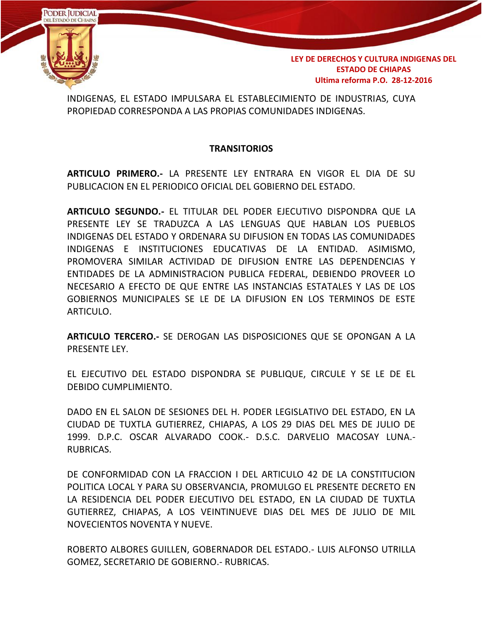

INDIGENAS, EL ESTADO IMPULSARA EL ESTABLECIMIENTO DE INDUSTRIAS, CUYA PROPIEDAD CORRESPONDA A LAS PROPIAS COMUNIDADES INDIGENAS.

#### **TRANSITORIOS**

**ARTICULO PRIMERO.-** LA PRESENTE LEY ENTRARA EN VIGOR EL DIA DE SU PUBLICACION EN EL PERIODICO OFICIAL DEL GOBIERNO DEL ESTADO.

**ARTICULO SEGUNDO.-** EL TITULAR DEL PODER EJECUTIVO DISPONDRA QUE LA PRESENTE LEY SE TRADUZCA A LAS LENGUAS QUE HABLAN LOS PUEBLOS INDIGENAS DEL ESTADO Y ORDENARA SU DIFUSION EN TODAS LAS COMUNIDADES INDIGENAS E INSTITUCIONES EDUCATIVAS DE LA ENTIDAD. ASIMISMO, PROMOVERA SIMILAR ACTIVIDAD DE DIFUSION ENTRE LAS DEPENDENCIAS Y ENTIDADES DE LA ADMINISTRACION PUBLICA FEDERAL, DEBIENDO PROVEER LO NECESARIO A EFECTO DE QUE ENTRE LAS INSTANCIAS ESTATALES Y LAS DE LOS GOBIERNOS MUNICIPALES SE LE DE LA DIFUSION EN LOS TERMINOS DE ESTE ARTICULO.

**ARTICULO TERCERO.-** SE DEROGAN LAS DISPOSICIONES QUE SE OPONGAN A LA PRESENTE LEY.

EL EJECUTIVO DEL ESTADO DISPONDRA SE PUBLIQUE, CIRCULE Y SE LE DE EL DEBIDO CUMPLIMIENTO.

DADO EN EL SALON DE SESIONES DEL H. PODER LEGISLATIVO DEL ESTADO, EN LA CIUDAD DE TUXTLA GUTIERREZ, CHIAPAS, A LOS 29 DIAS DEL MES DE JULIO DE 1999. D.P.C. OSCAR ALVARADO COOK.- D.S.C. DARVELIO MACOSAY LUNA.- RUBRICAS.

DE CONFORMIDAD CON LA FRACCION I DEL ARTICULO 42 DE LA CONSTITUCION POLITICA LOCAL Y PARA SU OBSERVANCIA, PROMULGO EL PRESENTE DECRETO EN LA RESIDENCIA DEL PODER EJECUTIVO DEL ESTADO, EN LA CIUDAD DE TUXTLA GUTIERREZ, CHIAPAS, A LOS VEINTINUEVE DIAS DEL MES DE JULIO DE MIL NOVECIENTOS NOVENTA Y NUEVE.

ROBERTO ALBORES GUILLEN, GOBERNADOR DEL ESTADO.- LUIS ALFONSO UTRILLA GOMEZ, SECRETARIO DE GOBIERNO.- RUBRICAS.